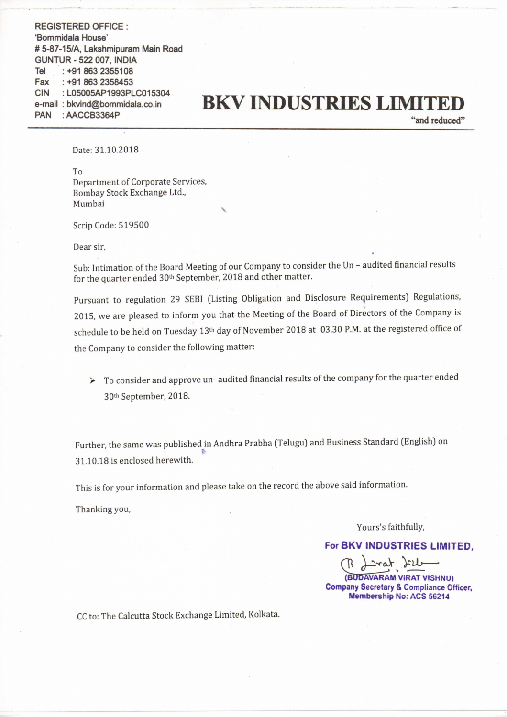REGISTERED OFFICE : 'Bommidala House' # 5-87-15/A, Lakshmipuram Main Road GUNTUR - 522 007, INDIA **Tel** : +91 863 2358453 : L05005AP1993PLC015304 Fax ClN e-mail: bkvind@bommidala.co.in PAN : AACCBS364P +91 863 2355108

## **BKV INDUSTRIES LIMITED**

"and reduced"

Date: 31.10.2018

To

Department of Corporate Services, Bombay Stock Exchange Ltd., Mumbai

Scrip Code: 519500

Dear sir,

Sub: Intimation of the Board Meeting of our Company to consider the Un – audited financial results for the quarter ended 30<sup>th</sup> September, 2018 and other matter.

Pursuant to regulation <sup>29</sup> SEE] (Listing Obligation and Disclosure Requirements) Regulations, 2015, we are pleased to inform you that the Meeting of the Board of Directors of the Company is schedule to be held on Tuesday 13<sup>th</sup> day of November 2018 at 03.30 P.M. at the registered office of the Company to consider the following matter:

 $\triangleright$  To consider and approve un- audited financial results of the company for the quarter ended 30'h September, 2018.

Further, the same was published in Andhra Prabha (Telugu) and Business Standard (English) on 31.10.18 is enclosed herewith.

This is for your information and please take on the record the above said information.

Thanking you,

Yours's faithfully,

For BKV INDUSTRIES LIMITED.

 $\overline{\sum_{k=1}^{k}$ 

Yours's fa<br> **BKV INDUS<br>
(BUDAVARAN)**<br> **CRUDAVARAN**<br> **CRUDAVARAN**<br> **Membership** (BUDAVARAM VIRAT VISHNU) Company Secretary & Compliance Officer. Membership No: ACS 56214

CC to: The Calcutta Stock Exchange Limited, Kolkata.